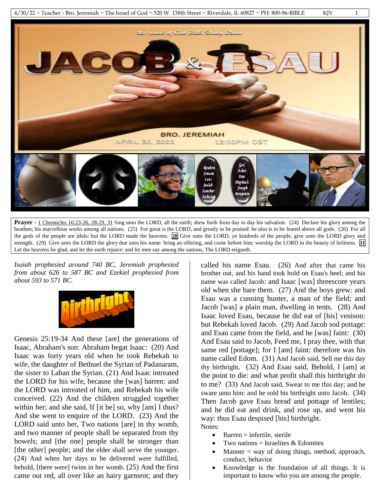

**Prayer** - 1 Chronicles 16:23-26, 28-29, 31 Sing unto the LORD, all the earth; shew forth from day to day his salvation. (24) Declare his glory among the heathen; his marvellous works among all nations. (25) For great is the LORD, and greatly to be praised: he also is to be feared above all gods. (26) For all the gods of the people are idols: but the LORD made the heavens. **28** Give unto the LORD, ye kindreds of the people, give unto the LORD glory and strength. (29) Give unto the LORD the glory due unto his name: bring an offering, and come before him: worship the LORD in the beauty of holiness. **31** Let the heavens be glad, and let the earth rejoice: and let men say among the nations, The LORD reigneth.

*Isaiah prophesied around 740 BC, Jeremiah prophesied from about 626 to 587 BC and Ezekiel prophesied from about 593 to 571 BC.*



Genesis 25:19-34 And these [are] the generations of Isaac, Abraham's son: Abraham begat Isaac: (20) And Isaac was forty years old when he took Rebekah to wife, the daughter of Bethuel the Syrian of Padanaram, the sister to Laban the Syrian. (21) And Isaac intreated the LORD for his wife, because she [was] barren: and the LORD was intreated of him, and Rebekah his wife conceived. (22) And the children struggled together within her; and she said, If [it be] so, why [am] I thus? And she went to enquire of the LORD. (23) And the LORD said unto her, Two nations [are] in thy womb, and two manner of people shall be separated from thy bowels; and [the one] people shall be stronger than [the other] people; and the elder shall serve the younger. (24) And when her days to be delivered were fulfilled, behold, [there were] twins in her womb. (25) And the first came out red, all over like an hairy garment; and they

called his name Esau. (26) And after that came his brother out, and his hand took hold on Esau's heel; and his name was called Jacob: and Isaac [was] threescore years old when she bare them. (27) And the boys grew: and Esau was a cunning hunter, a man of the field; and Jacob [was] a plain man, dwelling in tents. (28) And Isaac loved Esau, because he did eat of [his] venison: but Rebekah loved Jacob. (29) And Jacob sod pottage: and Esau came from the field, and he [was] faint: (30) And Esau said to Jacob, Feed me, I pray thee, with that same red [pottage]; for I [am] faint: therefore was his name called Edom. (31) And Jacob said, Sell me this day thy birthright. (32) And Esau said, Behold, I [am] at the point to die: and what profit shall this birthright do to me? (33) And Jacob said, Swear to me this day; and he sware unto him: and he sold his birthright unto Jacob. (34) Then Jacob gave Esau bread and pottage of lentiles; and he did eat and drink, and rose up, and went his way: thus Esau despised [his] birthright. Notes:

- Barren = infertile, sterile
- Two nations = Israelites  $&$  Edomites
- $Manner = way of doing things, method, approach,$ conduct, behavior
- Knowledge is the foundation of all things. It is important to know who you are among the people.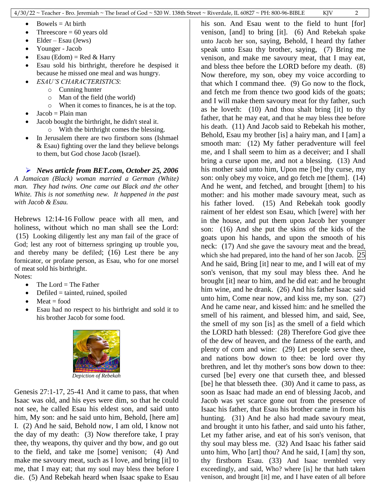- $\bullet$  Bowels = At birth
- Threescore  $= 60$  years old
- $\bullet$  Elder Esau (Jews)
- Younger Jacob
- Esau (Edom) = Red & Harry
- Esau sold his birthright, therefore he despised it because he missed one meal and was hungry.
- *ESAU'S CHARACTERISTICS*:
	- o Cunning hunter
	- o Man of the field (the world)
	- o When it comes to finances, he is at the top.
- $Jacob =$  Plain man
- Jacob bought the birthright, he didn't steal it.
	- o With the birthright comes the blessing.
- In Jerusalem there are two firstborn sons (Ishmael & Esau) fighting over the land they believe belongs to them, but God chose Jacob (Israel).

 *News article from BET.com, October 25, 2006 A Jamaican (Black) woman married a German (White) man. They had twins. One came out Black and the other White. This is not something new. It happened in the past with Jacob & Esau.* 

Hebrews 12:14-16 Follow peace with all men, and holiness, without which no man shall see the Lord: (15) Looking diligently lest any man fail of the grace of God; lest any root of bitterness springing up trouble you, and thereby many be defiled; (16) Lest there be any fornicator, or profane person, as Esau, who for one morsel of meat sold his birthright. Notes:

- The Lord = The Father
- $\bullet$  Defiled = tainted, ruined, spoiled
- $•$  Meat = food
- Esau had no respect to his birthright and sold it to his brother Jacob for some food.



Genesis 27:1-17, 25-41 And it came to pass, that when Isaac was old, and his eyes were dim, so that he could not see, he called Esau his eldest son, and said unto him, My son: and he said unto him, Behold, [here am] I. (2) And he said, Behold now, I am old, I know not the day of my death: (3) Now therefore take, I pray thee, thy weapons, thy quiver and thy bow, and go out to the field, and take me [some] venison; (4) And make me savoury meat, such as I love, and bring [it] to me, that I may eat; that my soul may bless thee before I die. (5) And Rebekah heard when Isaac spake to Esau his son. And Esau went to the field to hunt [for] venison, [and] to bring [it]. (6) And Rebekah spake unto Jacob her son, saying, Behold, I heard thy father speak unto Esau thy brother, saying, (7) Bring me venison, and make me savoury meat, that I may eat, and bless thee before the LORD before my death. (8) Now therefore, my son, obey my voice according to that which I command thee. (9) Go now to the flock, and fetch me from thence two good kids of the goats; and I will make them savoury meat for thy father, such as he loveth: (10) And thou shalt bring [it] to thy father, that he may eat, and that he may bless thee before his death. (11) And Jacob said to Rebekah his mother, Behold, Esau my brother [is] a hairy man, and I [am] a smooth man: (12) My father peradventure will feel me, and I shall seem to him as a deceiver; and I shall bring a curse upon me, and not a blessing. (13) And his mother said unto him, Upon me [be] thy curse, my son: only obey my voice, and go fetch me [them]. (14) And he went, and fetched, and brought [them] to his mother: and his mother made savoury meat, such as his father loved. (15) And Rebekah took goodly raiment of her eldest son Esau, which [were] with her in the house, and put them upon Jacob her younger son: (16) And she put the skins of the kids of the goats upon his hands, and upon the smooth of his neck: (17) And she gave the savoury meat and the bread, which she had prepared, into the hand of her son Jacob. 25 And he said, Bring [it] near to me, and I will eat of my son's venison, that my soul may bless thee. And he brought [it] near to him, and he did eat: and he brought him wine, and he drank. (26) And his father Isaac said unto him, Come near now, and kiss me, my son. (27) And he came near, and kissed him: and he smelled the smell of his raiment, and blessed him, and said, See, the smell of my son [is] as the smell of a field which the LORD hath blessed: (28) Therefore God give thee of the dew of heaven, and the fatness of the earth, and plenty of corn and wine: (29) Let people serve thee, and nations bow down to thee: be lord over thy brethren, and let thy mother's sons bow down to thee: cursed [be] every one that curseth thee, and blessed [be] he that blesseth thee. (30) And it came to pass, as soon as Isaac had made an end of blessing Jacob, and Jacob was yet scarce gone out from the presence of Isaac his father, that Esau his brother came in from his hunting. (31) And he also had made savoury meat, and brought it unto his father, and said unto his father, Let my father arise, and eat of his son's venison, that thy soul may bless me. (32) And Isaac his father said unto him, Who [art] thou? And he said, I [am] thy son, thy firstborn Esau. (33) And Isaac trembled very exceedingly, and said, Who? where [is] he that hath taken venison, and brought [it] me, and I have eaten of all before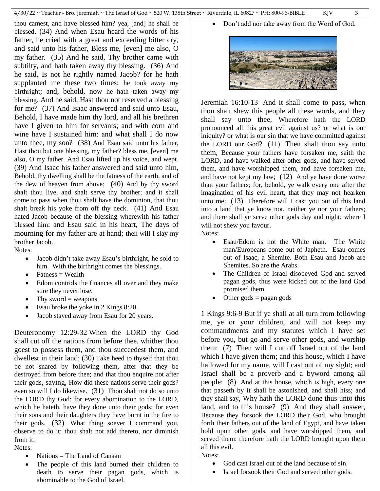$4/30/22 \sim$  Teacher - Bro. Jeremiah  $\sim$  The Israel of God  $\sim$  520 W. 138th Street  $\sim$  Riverdale, IL 60827  $\sim$  PH: 800-96-BIBLE KJV 3

thou camest, and have blessed him? yea, [and] he shall be blessed. (34) And when Esau heard the words of his father, he cried with a great and exceeding bitter cry, and said unto his father, Bless me, [even] me also, O my father. (35) And he said, Thy brother came with subtilty, and hath taken away thy blessing. (36) And he said, Is not he rightly named Jacob? for he hath supplanted me these two times: he took away my birthright; and, behold, now he hath taken away my blessing. And he said, Hast thou not reserved a blessing for me? (37) And Isaac answered and said unto Esau, Behold, I have made him thy lord, and all his brethren have I given to him for servants; and with corn and wine have I sustained him: and what shall I do now unto thee, my son? (38) And Esau said unto his father, Hast thou but one blessing, my father? bless me, [even] me also, O my father. And Esau lifted up his voice, and wept. (39) And Isaac his father answered and said unto him, Behold, thy dwelling shall be the fatness of the earth, and of the dew of heaven from above; (40) And by thy sword shalt thou live, and shalt serve thy brother; and it shall come to pass when thou shalt have the dominion, that thou shalt break his yoke from off thy neck. (41) And Esau hated Jacob because of the blessing wherewith his father blessed him: and Esau said in his heart, The days of mourning for my father are at hand; then will I slay my brother Jacob.

Notes:

- Jacob didn't take away Esau's birthright, he sold to him. With the birthright comes the blessings.
- $\bullet$  Fatness = Wealth
- Edom controls the finances all over and they make sure they never lose.
- Thy sword  $=$  weapons
- Esau broke the yoke in 2 Kings 8:20.
- Jacob stayed away from Esau for 20 years.

Deuteronomy 12:29-32 When the LORD thy God shall cut off the nations from before thee, whither thou goest to possess them, and thou succeedest them, and dwellest in their land; (30) Take heed to thyself that thou be not snared by following them, after that they be destroyed from before thee; and that thou enquire not after their gods, saying, How did these nations serve their gods? even so will I do likewise. (31) Thou shalt not do so unto the LORD thy God: for every abomination to the LORD, which he hateth, have they done unto their gods; for even their sons and their daughters they have burnt in the fire to their gods. (32) What thing soever I command you, observe to do it: thou shalt not add thereto, nor diminish from it.

- Notes:
	- Nations  $=$  The Land of Canaan
	- The people of this land burned their children to death to serve their pagan gods, which is abominable to the God of Israel.

Don't add nor take away from the Word of God.



Jeremiah 16:10-13 And it shall come to pass, when thou shalt shew this people all these words, and they shall say unto thee, Wherefore hath the LORD pronounced all this great evil against us? or what is our iniquity? or what is our sin that we have committed against the LORD our God? (11) Then shalt thou say unto them, Because your fathers have forsaken me, saith the LORD, and have walked after other gods, and have served them, and have worshipped them, and have forsaken me, and have not kept my law; (12) And ye have done worse than your fathers; for, behold, ye walk every one after the imagination of his evil heart, that they may not hearken unto me: (13) Therefore will I cast you out of this land into a land that ye know not, neither ye nor your fathers; and there shall ye serve other gods day and night; where I will not shew you favour.

- Notes:
	- Esau/Edom is not the White man. The White man/Europeans come out of Japheth. Esau comes out of Isaac, a Shemite. Both Esau and Jacob are Shemites. So are the Arabs.
	- The Children of Israel disobeyed God and served pagan gods, thus were kicked out of the land God promised them.
	- Other gods  $=$  pagan gods

1 Kings 9:6-9 But if ye shall at all turn from following me, ye or your children, and will not keep my commandments and my statutes which I have set before you, but go and serve other gods, and worship them: (7) Then will I cut off Israel out of the land which I have given them; and this house, which I have hallowed for my name, will I cast out of my sight; and Israel shall be a proverb and a byword among all people: (8) And at this house, which is high, every one that passeth by it shall be astonished, and shall hiss; and they shall say, Why hath the LORD done thus unto this land, and to this house? (9) And they shall answer, Because they forsook the LORD their God, who brought forth their fathers out of the land of Egypt, and have taken hold upon other gods, and have worshipped them, and served them: therefore hath the LORD brought upon them all this evil.

Notes:

- God cast Israel out of the land because of sin.
- Israel forsook their God and served other gods.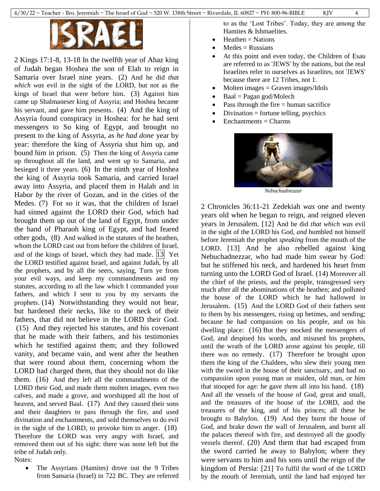

2 Kings 17:1-8, 13-18 In the twelfth year of Ahaz king of Judah began Hoshea the son of Elah to reign in Samaria over Israel nine years. (2) And he did *that which was* evil in the sight of the LORD, but not as the kings of Israel that were before him. (3) Against him came up Shalmaneser king of Assyria; and Hoshea became his servant, and gave him presents. (4) And the king of Assyria found conspiracy in Hoshea: for he had sent messengers to So king of Egypt, and brought no present to the king of Assyria, as *he had done* year by year: therefore the king of Assyria shut him up, and bound him in prison. (5) Then the king of Assyria came up throughout all the land, and went up to Samaria, and besieged it three years. (6) In the ninth year of Hoshea the king of Assyria took Samaria, and carried Israel away into Assyria, and placed them in Halah and in Habor *by* the river of Gozan, and in the cities of the Medes. (7) For so it was, that the children of Israel had sinned against the LORD their God, which had brought them up out of the land of Egypt, from under the hand of Pharaoh king of Egypt, and had feared other gods, (8) And walked in the statutes of the heathen, whom the LORD cast out from before the children of Israel, and of the kings of Israel, which they had made.  $|13|$  Yet the LORD testified against Israel, and against Judah, by all the prophets, and by all the seers, saying, Turn ye from your evil ways, and keep my commandments and my statutes, according to all the law which I commanded your fathers, and which I sent to you by my servants the prophets. (14) Notwithstanding they would not hear, but hardened their necks, like to the neck of their fathers, that did not believe in the LORD their God. (15) And they rejected his statutes, and his covenant that he made with their fathers, and his testimonies which he testified against them; and they followed vanity, and became vain, and went after the heathen that were round about them, concerning whom the LORD had charged them, that they should not do like them. (16) And they left all the commandments of the LORD their God, and made them molten images, even two calves, and made a grove, and worshipped all the host of heaven, and served Baal. (17) And they caused their sons and their daughters to pass through the fire, and used divination and enchantments, and sold themselves to do evil in the sight of the LORD, to provoke him to anger. (18) Therefore the LORD was very angry with Israel, and removed them out of his sight: there was none left but the tribe of Judah only.

- Notes:
	- The Assyrians (Hamites) drove out the 9 Tribes from Samaria (Israel) in 722 BC. They are referred

to as the 'Lost Tribes'. Today, they are among the Hamites & Ishmaelites.

- $Heathen = Nations$
- $Medes = Russians$
- At this point and even today, the Children of Esau are referred to as 'JEWS' by the nations, but the real Israelites refer to ourselves as Israelites, not 'JEWS' because there are 12 Tribes, not 1.
- $Molten images = Graven images/Idols$
- Baal = Pagan god/Molech
- Pass through the fire  $=$  human sacrifice
- Divination = fortune telling, psychics
- Enchantments = Charms



*Nebuchadnezzar*

2 Chronicles 36:11-21 Zedekiah *was* one and twenty years old when he began to reign, and reigned eleven years in Jerusalem. [12] And he did *that which was* evil in the sight of the LORD his God, *and* humbled not himself before Jeremiah the prophet *speaking* from the mouth of the LORD. [13] And he also rebelled against king Nebuchadnezzar, who had made him swear by God: but he stiffened his neck, and hardened his heart from turning unto the LORD God of Israel. (14) Moreover all the chief of the priests, and the people, transgressed very much after all the abominations of the heathen; and polluted the house of the LORD which he had hallowed in Jerusalem. (15) And the LORD God of their fathers sent to them by his messengers, rising up betimes, and sending; because he had compassion on his people, and on his dwelling place: (16) But they mocked the messengers of God, and despised his words, and misused his prophets, until the wrath of the LORD arose against his people, till there was no remedy. (17) Therefore he brought upon them the king of the Chaldees, who slew their young men with the sword in the house of their sanctuary, and had no compassion upon young man or maiden, old man, or him that stooped for age: he gave *them* all into his hand. (18) And all the vessels of the house of God, great and small, and the treasures of the house of the LORD, and the treasures of the king, and of his princes; all these he brought to Babylon. (19) And they burnt the house of God, and brake down the wall of Jerusalem, and burnt all the palaces thereof with fire, and destroyed all the goodly vessels thereof. (20) And them that had escaped from the sword carried he away to Babylon; where they were servants to him and his sons until the reign of the kingdom of Persia: [21] To fulfil the word of the LORD by the mouth of Jeremiah, until the land had enjoyed her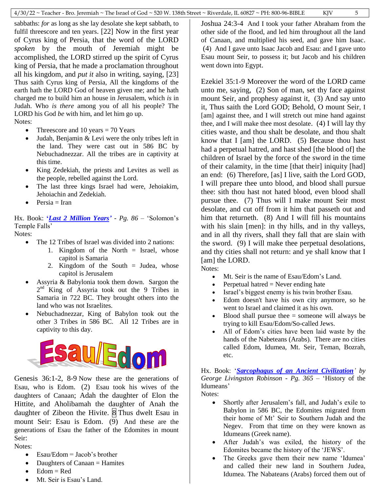sabbaths: *for* as long as she lay desolate she kept sabbath, to fulfil threescore and ten years. [22] Now in the first year of Cyrus king of Persia, that the word of the LORD *spoken* by the mouth of Jeremiah might be accomplished, the LORD stirred up the spirit of Cyrus king of Persia, that he made a proclamation throughout all his kingdom, and *put it* also in writing, saying, [23] Thus saith Cyrus king of Persia, All the kingdoms of the earth hath the LORD God of heaven given me; and he hath charged me to build him an house in Jerusalem, which *is* in Judah. Who *is there* among you of all his people? The LORD his God *be* with him, and let him go up.

Notes:

- Threescore and 10 years  $= 70$  Years
- Judah, Benjamin & Levi were the only tribes left in the land. They were cast out in 586 BC by Nebuchadnezzar. All the tribes are in captivity at this time.
- King Zedekiah, the priests and Levites as well as the people, rebelled against the Lord.
- The last three kings Israel had were, Jehoiakim, Jehoiachin and Zedekiah.
- $Persia = Iran$

Hx. Book: **'***[Last 2 Million](https://www.amazon.com/Last-Two-Million-Years/dp/B000JV56FE/) Years' - Pg. 86* – 'Solomon's Temple Falls'

## Notes:

- The 12 Tribes of Israel was divided into 2 nations:
	- 1. Kingdom of the North  $=$  Israel, whose capitol is Samaria
	- 2. Kingdom of the South = Judea, whose capitol is Jerusalem
- Assyria & Babylonia took them down. Sargon the 2<sup>nd</sup> King of Assyria took out the 9 Tribes in Samaria in 722 BC. They brought others into the land who was not Israelites.
- Nebuchadnezzar, King of Babylon took out the other 3 Tribes in 586 BC. All 12 Tribes are in captivity to this day.



Genesis 36:1-2, 8-9 Now these are the generations of Esau, who is Edom. (2) Esau took his wives of the daughters of Canaan; Adah the daughter of Elon the Hittite, and Aholibamah the daughter of Anah the daughter of Zibeon the Hivite.  $\boxed{8}$  Thus dwelt Esau in mount Seir: Esau is Edom.  $(\overline{9})$  And these are the generations of Esau the father of the Edomites in mount Seir:

Notes:

- Esau/Edom = Jacob's brother
- $\bullet$  Daughters of Canaan = Hamites
- $Edom = Red$
- Mt. Seir is Esau's Land.

Joshua 24:3-4 And I took your father Abraham from the other side of the flood, and led him throughout all the land of Canaan, and multiplied his seed, and gave him Isaac. (4) And I gave unto Isaac Jacob and Esau: and I gave unto Esau mount Seir, to possess it; but Jacob and his children went down into Egypt.

Ezekiel 35:1-9 Moreover the word of the LORD came unto me, saying, (2) Son of man, set thy face against mount Seir, and prophesy against it, (3) And say unto it, Thus saith the Lord GOD; Behold, O mount Seir, I [am] against thee, and I will stretch out mine hand against thee, and I will make thee most desolate. (4) I will lay thy cities waste, and thou shalt be desolate, and thou shalt know that I  $\lceil$  am $\rceil$  the LORD. (5) Because thou hast had a perpetual hatred, and hast shed [the blood of] the children of Israel by the force of the sword in the time of their calamity, in the time [that their] iniquity [had] an end: (6) Therefore, [as] I live, saith the Lord GOD, I will prepare thee unto blood, and blood shall pursue thee: sith thou hast not hated blood, even blood shall pursue thee. (7) Thus will I make mount Seir most desolate, and cut off from it him that passeth out and him that returneth. (8) And I will fill his mountains with his slain [men]: in thy hills, and in thy valleys, and in all thy rivers, shall they fall that are slain with the sword. (9) I will make thee perpetual desolations, and thy cities shall not return: and ye shall know that I [am] the LORD.

Notes:

- Mt. Seir is the name of Esau/Edom's Land.
- Perpetual hatred  $=$  Never ending hate
- Israel's biggest enemy is his twin brother Esau.
- Edom doesn't have his own city anymore, so he went to Israel and claimed it as his own.
- Blood shall pursue thee  $=$  someone will always be trying to kill Esau/Edom/So-called Jews.
- All of Edom's cities have been laid waste by the hands of the Nabeteans (Arabs). There are no cities called Edom, Idumea, Mt. Seir, Teman, Bozrah, etc.

Hx. Book: '*Sarcophagus of [an Ancient Civilization](https://www.amazon.com/Sarcophagus-Ancient-Civilization-Livingston-Robinson/dp/1169803881/)' by George Livingston Robinson - Pg. 365* – 'History of the Idumeans'

- Notes:
	- Shortly after Jerusalem's fall, and Judah's exile to Babylon in 586 BC, the Edomites migrated from their home of Mt' Seir to Southern Judah and the Negev. From that time on they were known as Idumeans (Greek name).
	- After Judah's was exiled, the history of the Edomites became the history of the 'JEWS'.
	- The Greeks gave them their new name 'Idumea' and called their new land in Southern Judea, Idumea. The Nabateans (Arabs) forced them out of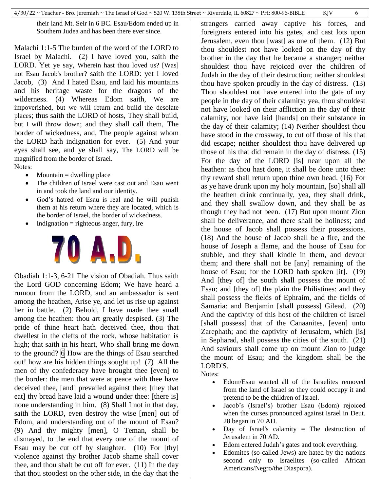their land Mt. Seir in 6 BC. Esau/Edom ended up in Southern Judea and has been there ever since.

Malachi 1:1-5 The burden of the word of the LORD to Israel by Malachi. (2) I have loved you, saith the LORD. Yet ye say, Wherein hast thou loved us? [Was] not Esau Jacob's brother? saith the LORD: yet I loved Jacob, (3) And I hated Esau, and laid his mountains and his heritage waste for the dragons of the wilderness. (4) Whereas Edom saith, We are impoverished, but we will return and build the desolate places; thus saith the LORD of hosts, They shall build, but I will throw down; and they shall call them, The border of wickedness, and, The people against whom the LORD hath indignation for ever. (5) And your eyes shall see, and ye shall say, The LORD will be magnified from the border of Israel. Notes:

- $\bullet$  Mountain = dwelling place
- The children of Israel were cast out and Esau went in and took the land and our identity.
- God's hatred of Esau is real and he will punish them at his return where they are located, which is the border of Israel, the border of wickedness.
- Indignation  $=$  righteous anger, fury, ire



Obadiah 1:1-3, 6-21 The vision of Obadiah. Thus saith the Lord GOD concerning Edom; We have heard a rumour from the LORD, and an ambassador is sent among the heathen, Arise ye, and let us rise up against her in battle. (2) Behold, I have made thee small among the heathen: thou art greatly despised. (3) The pride of thine heart hath deceived thee, thou that dwellest in the clefts of the rock, whose habitation is high; that saith in his heart, Who shall bring me down to the ground?  $\overline{6}$  How are the things of Esau searched out! how are his hidden things sought up! (7) All the men of thy confederacy have brought thee [even] to the border: the men that were at peace with thee have deceived thee, [and] prevailed against thee; [they that eat] thy bread have laid a wound under thee: [there is] none understanding in him. (8) Shall I not in that day, saith the LORD, even destroy the wise [men] out of Edom, and understanding out of the mount of Esau? (9) And thy mighty [men], O Teman, shall be dismayed, to the end that every one of the mount of Esau may be cut off by slaughter. (10) For [thy] violence against thy brother Jacob shame shall cover thee, and thou shalt be cut off for ever. (11) In the day that thou stoodest on the other side, in the day that the

strangers carried away captive his forces, and foreigners entered into his gates, and cast lots upon Jerusalem, even thou [wast] as one of them. (12) But thou shouldest not have looked on the day of thy brother in the day that he became a stranger; neither shouldest thou have rejoiced over the children of Judah in the day of their destruction; neither shouldest thou have spoken proudly in the day of distress. (13) Thou shouldest not have entered into the gate of my people in the day of their calamity; yea, thou shouldest not have looked on their affliction in the day of their calamity, nor have laid [hands] on their substance in the day of their calamity; (14) Neither shouldest thou have stood in the crossway, to cut off those of his that did escape; neither shouldest thou have delivered up those of his that did remain in the day of distress. (15) For the day of the LORD [is] near upon all the heathen: as thou hast done, it shall be done unto thee: thy reward shall return upon thine own head. (16) For as ye have drunk upon my holy mountain, [so] shall all the heathen drink continually, yea, they shall drink, and they shall swallow down, and they shall be as though they had not been. (17) But upon mount Zion shall be deliverance, and there shall be holiness; and the house of Jacob shall possess their possessions. (18) And the house of Jacob shall be a fire, and the house of Joseph a flame, and the house of Esau for stubble, and they shall kindle in them, and devour them; and there shall not be [any] remaining of the house of Esau; for the LORD hath spoken [it]. (19) And [they of] the south shall possess the mount of Esau; and [they of] the plain the Philistines: and they shall possess the fields of Ephraim, and the fields of Samaria: and Benjamin [shall possess] Gilead. (20) And the captivity of this host of the children of Israel [shall possess] that of the Canaanites, [even] unto Zarephath; and the captivity of Jerusalem, which [is] in Sepharad, shall possess the cities of the south. (21) And saviours shall come up on mount Zion to judge the mount of Esau; and the kingdom shall be the LORD'S.

Notes:

- Edom/Esau wanted all of the Israelites removed from the land of Israel so they could occupy it and pretend to be the children of Israel.
- Jacob's (Israel's) brother Esau (Edom) rejoiced when the curses pronounced against Israel in Deut. 28 began in 70 AD.
- Day of Israel's calamity = The destruction of Jerusalem in 70 AD.
- Edom entered Judah's gates and took everything.
- Edomites (so-called Jews) are hated by the nations second only to Israelites (so-called African Americans/Negro/the Diaspora).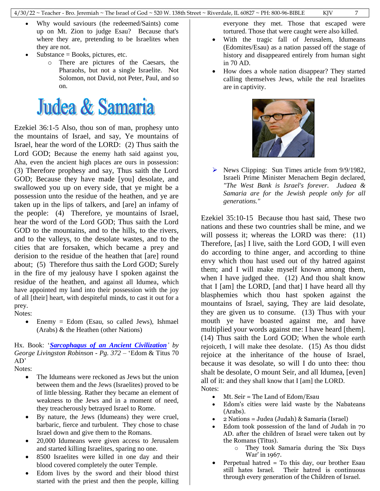$4/30/22 \sim$  Teacher - Bro. Jeremiah  $\sim$  The Israel of God  $\sim$  520 W. 138th Street  $\sim$  Riverdale, IL 60827  $\sim$  PH: 800-96-BIBLE KJV 7

- Why would saviours (the redeemed/Saints) come up on Mt. Zion to judge Esau? Because that's where they are, pretending to be Israelites when they are not.
- Substance = Books, pictures, etc.
	- o There are pictures of the Caesars, the Pharaohs, but not a single Israelite. Not Solomon, not David, not Peter, Paul, and so on.



Ezekiel 36:1-5 Also, thou son of man, prophesy unto the mountains of Israel, and say, Ye mountains of Israel, hear the word of the LORD: (2) Thus saith the Lord GOD; Because the enemy hath said against you, Aha, even the ancient high places are ours in possession: (3) Therefore prophesy and say, Thus saith the Lord GOD; Because they have made [you] desolate, and swallowed you up on every side, that ye might be a possession unto the residue of the heathen, and ye are taken up in the lips of talkers, and [are] an infamy of the people: (4) Therefore, ye mountains of Israel, hear the word of the Lord GOD; Thus saith the Lord GOD to the mountains, and to the hills, to the rivers, and to the valleys, to the desolate wastes, and to the cities that are forsaken, which became a prey and derision to the residue of the heathen that [are] round about; (5) Therefore thus saith the Lord GOD; Surely in the fire of my jealousy have I spoken against the residue of the heathen, and against all Idumea, which have appointed my land into their possession with the joy of all [their] heart, with despiteful minds, to cast it out for a prey.

Notes:

• Enemy = Edom (Esau, so called Jews), Ishmael (Arabs) & the Heathen (other Nations)

Hx. Book: '*Sarcophagus of [an Ancient Civilization](https://www.amazon.com/Sarcophagus-Ancient-Civilization-Livingston-Robinson/dp/1169803881/)' by George Livingston Robinson - Pg. 372* – 'Edom & Titus 70 AD'

Notes:

- The Idumeans were reckoned as Jews but the union between them and the Jews (Israelites) proved to be of little blessing. Rather they became an element of weakness to the Jews and in a moment of need, they treacherously betrayed Israel to Rome.
- By nature, the Jews (Idumeans) they were cruel, barbaric, fierce and turbulent. They chose to chase Israel down and give them to the Romans.
- 20,000 Idumeans were given access to Jerusalem and started killing Israelites, sparing no one.
- 8500 Israelites were killed in one day and their blood covered completely the outer Temple.
- Edom lives by the sword and their blood thirst started with the priest and then the people, killing

everyone they met. Those that escaped were tortured. Those that were caught were also killed.

- With the tragic fall of Jerusalem, Idumeans (Edomites/Esau) as a nation passed off the stage of history and disappeared entirely from human sight in 70 AD.
- How does a whole nation disappear? They started calling themselves Jews, while the real Israelites are in captivity.



News Clipping: Sun Times article from  $9/9/1982$ , Israeli Prime Minister Menachem Begin declared, *"The West Bank is Israel's forever. Judaea & Samaria are for the Jewish people only for all generations."*

Ezekiel 35:10-15 Because thou hast said, These two nations and these two countries shall be mine, and we will possess it; whereas the LORD was there: (11) Therefore, [as] I live, saith the Lord GOD, I will even do according to thine anger, and according to thine envy which thou hast used out of thy hatred against them; and I will make myself known among them, when I have judged thee. (12) And thou shalt know that I [am] the LORD, [and that] I have heard all thy blasphemies which thou hast spoken against the mountains of Israel, saying, They are laid desolate, they are given us to consume. (13) Thus with your mouth ye have boasted against me, and have multiplied your words against me: I have heard [them]. (14) Thus saith the Lord GOD; When the whole earth rejoiceth, I will make thee desolate. (15) As thou didst rejoice at the inheritance of the house of Israel, because it was desolate, so will I do unto thee: thou shalt be desolate, O mount Seir, and all Idumea, [even] all of it: and they shall know that I [am] the LORD. Notes:

- Mt. Seir = The Land of Edom/Esau
- Edom's cities were laid waste by the Nabateans (Arabs).
- 2 Nations = Judea (Judah) & Samaria (Israel)
- Edom took possession of the land of Judah in 70 AD. after the children of Israel were taken out by the Romans (Titus).
	- o They took Samaria during the 'Six Days War' in 1967.
- Perpetual hatred = To this day, our brother Esau still hates Israel. Their hatred is continuous through every generation of the Children of Israel.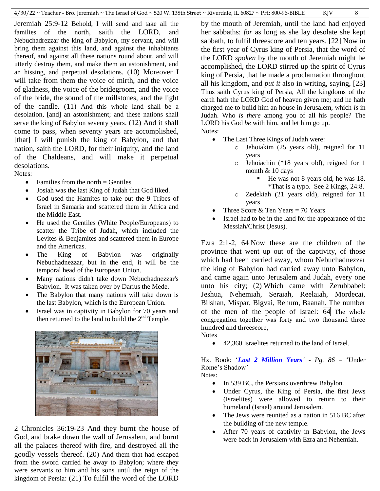Jeremiah 25:9-12 Behold, I will send and take all the families of the north, saith the LORD, and Nebuchadrezzar the king of Babylon, my servant, and will bring them against this land, and against the inhabitants thereof, and against all these nations round about, and will utterly destroy them, and make them an astonishment, and an hissing, and perpetual desolations. (10) Moreover I will take from them the voice of mirth, and the voice of gladness, the voice of the bridegroom, and the voice of the bride, the sound of the millstones, and the light of the candle. (11) And this whole land shall be a desolation, [and] an astonishment; and these nations shall serve the king of Babylon seventy years. (12) And it shall come to pass, when seventy years are accomplished, [that] I will punish the king of Babylon, and that nation, saith the LORD, for their iniquity, and the land of the Chaldeans, and will make it perpetual desolations.

- Notes:
	- $\bullet$  Families from the north = Gentiles
	- Josiah was the last King of Judah that God liked.
	- God used the Hamites to take out the 9 Tribes of Israel in Samaria and scattered them in Africa and the Middle East.
	- He used the Gentiles (White People/Europeans) to scatter the Tribe of Judah, which included the Levites & Benjamites and scattered them in Europe and the Americas.
	- The King of Babylon was originally Nebuchadnezzar, but in the end, it will be the temporal head of the European Union.
	- Many nations didn't take down Nebuchadnezzar's Babylon. It was taken over by Darius the Mede.
	- The Babylon that many nations will take down is the last Babylon, which is the European Union.
	- Israel was in captivity in Babylon for 70 years and then returned to the land to build the  $2<sup>nd</sup>$  Temple.



2 Chronicles 36:19-23 And they burnt the house of God, and brake down the wall of Jerusalem, and burnt all the palaces thereof with fire, and destroyed all the goodly vessels thereof. (20) And them that had escaped from the sword carried he away to Babylon; where they were servants to him and his sons until the reign of the kingdom of Persia: (21) To fulfil the word of the LORD

by the mouth of Jeremiah, until the land had enjoyed her sabbaths: *for* as long as she lay desolate she kept sabbath, to fulfil threescore and ten years. [22] Now in the first year of Cyrus king of Persia, that the word of the LORD *spoken* by the mouth of Jeremiah might be accomplished, the LORD stirred up the spirit of Cyrus king of Persia, that he made a proclamation throughout all his kingdom, and *put it* also in writing, saying, [23] Thus saith Cyrus king of Persia, All the kingdoms of the earth hath the LORD God of heaven given me; and he hath charged me to build him an house in Jerusalem, which *is* in Judah. Who *is there* among you of all his people? The LORD his God *be* with him, and let him go up. Notes:

- The Last Three Kings of Judah were:
	- o Jehoiakim (25 years old), reigned for 11 years
	- o Jehoiachin (\*18 years old), reigned for 1 month & 10 days
		- He was not 8 years old, he was 18. \*That is a typo. See 2 Kings, 24:8.
	- o Zedekiah (21 years old), reigned for 11 years
- Three Score  $&$  Ten Years = 70 Years
- Israel had to be in the land for the appearance of the Messiah/Christ (Jesus).

Ezra 2:1-2, 64 Now these are the children of the province that went up out of the captivity, of those which had been carried away, whom Nebuchadnezzar the king of Babylon had carried away unto Babylon, and came again unto Jerusalem and Judah, every one unto his city; (2) Which came with Zerubbabel: Jeshua, Nehemiah, Seraiah, Reelaiah, Mordecai, Bilshan, Mispar, Bigvai, Rehum, Baanah. The number of the men of the people of Israel: 64 The whole congregation together was forty and two thousand three hundred and threescore, **Notes** 

42,360 Israelites returned to the land of Israel.

Hx. Book: '*[Last 2 Million](https://www.amazon.com/Last-Two-Million-Years/dp/B000JV56FE/) Years' - Pg. 86* – 'Under Rome's Shadow'

- Notes:
	- In 539 BC, the Persians overthrew Babylon.
	- Under Cyrus, the King of Persia, the first Jews (Israelites) were allowed to return to their homeland (Israel) around Jerusalem.
	- The Jews were reunited as a nation in 516 BC after the building of the new temple.
	- After 70 years of captivity in Babylon, the Jews were back in Jerusalem with Ezra and Nehemiah.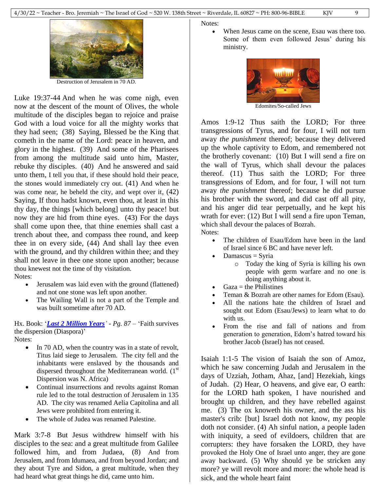

Destruction of Jerusalem in 70 AD.

Luke 19:37-44 And when he was come nigh, even now at the descent of the mount of Olives, the whole multitude of the disciples began to rejoice and praise God with a loud voice for all the mighty works that they had seen; (38) Saying, Blessed be the King that cometh in the name of the Lord: peace in heaven, and glory in the highest. (39) And some of the Pharisees from among the multitude said unto him, Master, rebuke thy disciples. (40) And he answered and said unto them, I tell you that, if these should hold their peace, the stones would immediately cry out. (41) And when he was come near, he beheld the city, and wept over it, (42) Saying, If thou hadst known, even thou, at least in this thy day, the things [which belong] unto thy peace! but now they are hid from thine eyes. (43) For the days shall come upon thee, that thine enemies shall cast a trench about thee, and compass thee round, and keep thee in on every side, (44) And shall lay thee even with the ground, and thy children within thee; and they shall not leave in thee one stone upon another; because thou knewest not the time of thy visitation.

- Notes:
	- Jerusalem was laid even with the ground (flattened) and not one stone was left upon another.
	- The Wailing Wall is not a part of the Temple and was built sometime after 70 AD.

Hx. Book: '*[Last 2 Million](https://www.amazon.com/Last-Two-Million-Years/dp/B000JV56FE/) Years' - Pg. 87* – 'Faith survives the dispersion (Diaspora)' Notes:

- In 70 AD, when the country was in a state of revolt, Titus laid siege to Jerusalem. The city fell and the inhabitants were enslaved by the thousands and dispersed throughout the Mediterranean world.  $(1<sup>st</sup>$ Dispersion was N. Africa)
- Continual insurrections and revolts against Roman rule led to the total destruction of Jerusalem in 135 AD. The city was renamed Aelia Capitolina and all Jews were prohibited from entering it.
- The whole of Judea was renamed Palestine.

Mark 3:7-8 But Jesus withdrew himself with his disciples to the sea: and a great multitude from Galilee followed him, and from Judaea, (8) And from Jerusalem, and from Idumaea, and from beyond Jordan; and they about Tyre and Sidon, a great multitude, when they had heard what great things he did, came unto him.

Notes:

• When Jesus came on the scene, Esau was there too. Some of them even followed Jesus' during his ministry.



Amos 1:9-12 Thus saith the LORD; For three transgressions of Tyrus, and for four, I will not turn away *the punishment* thereof; because they delivered up the whole captivity to Edom, and remembered not the brotherly covenant: (10) But I will send a fire on the wall of Tyrus, which shall devour the palaces thereof. (11) Thus saith the LORD; For three transgressions of Edom, and for four, I will not turn away *the punishment* thereof; because he did pursue his brother with the sword, and did cast off all pity, and his anger did tear perpetually, and he kept his wrath for ever: (12) But I will send a fire upon Teman, which shall devour the palaces of Bozrah. Notes:

- The children of Esau/Edom have been in the land of Israel since 6 BC and have never left.
- Damascus = Syria
	- o Today the king of Syria is killing his own people with germ warfare and no one is doing anything about it.
- Gaza = the Philistines
- Teman & Bozrah are other names for Edom (Esau).
- All the nations hate the children of Israel and sought out Edom (Esau/Jews) to learn what to do with us.
- From the rise and fall of nations and from generation to generation, Edom's hatred toward his brother Jacob (Israel) has not ceased.

Isaiah 1:1-5 The vision of Isaiah the son of Amoz, which he saw concerning Judah and Jerusalem in the days of Uzziah, Jotham, Ahaz, [and] Hezekiah, kings of Judah. (2) Hear, O heavens, and give ear, O earth: for the LORD hath spoken, I have nourished and brought up children, and they have rebelled against me. (3) The ox knoweth his owner, and the ass his master's crib: [but] Israel doth not know, my people doth not consider. (4) Ah sinful nation, a people laden with iniquity, a seed of evildoers, children that are corrupters: they have forsaken the LORD, they have provoked the Holy One of Israel unto anger, they are gone away backward. (5) Why should ye be stricken any more? ye will revolt more and more: the whole head is sick, and the whole heart faint